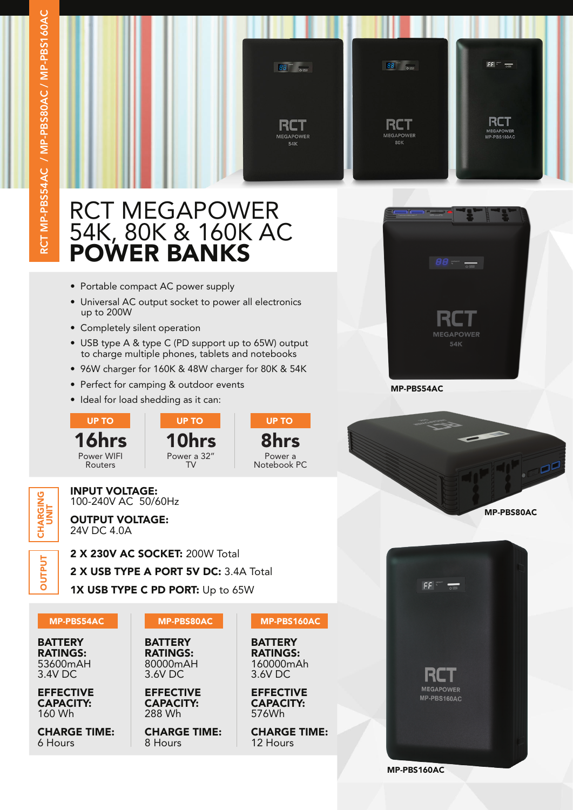

# RCT MEGAPOWER 54K, 80K & 160K AC POWER BANKS

- Portable compact AC power supply
- Universal AC output socket to power all electronics up to 200W
- Completely silent operation

INPUT VOLTAGE: 100-240V AC 50/60Hz OUTPUT VOLTAGE:

24V DC 4.0A

16hrs Power WIFI Routers

- USB type A & type C (PD support up to 65W) output to charge multiple phones, tablets and notebooks
- 96W charger for 160K & 48W charger for 80K & 54K

TV

- Perfect for camping & outdoor events
- Ideal for load shedding as it can:







**MEGAPOWER** 54K

MP-PBS160AC

## 2 X 230V AC SOCKET: 200W Total **DUTPUT DUTPUT** 2 X USB TYPE A PORT 5V DC: 3.4A Total 1X USB TYPE C PD PORT: Up to 65W

**DNIONAK**<br>CHARK CHARGING<br>UNIT

MP-PBS54AC MP-PBS80AC

MP-PBS160AC

**BATTERY** RATINGS: 160000mAh 3.6V DC

EFFECTIVE CAPACITY: 576Wh

CHARGE TIME: 12 Hours

**BATTERY** RATINGS: 53600mAH 3.4V DC

EFFECTIVE CAPACITY: 160 Wh

CHARGE TIME: 6 Hours



CAPACITY: 288 Wh

CHARGE TIME: 8 Hours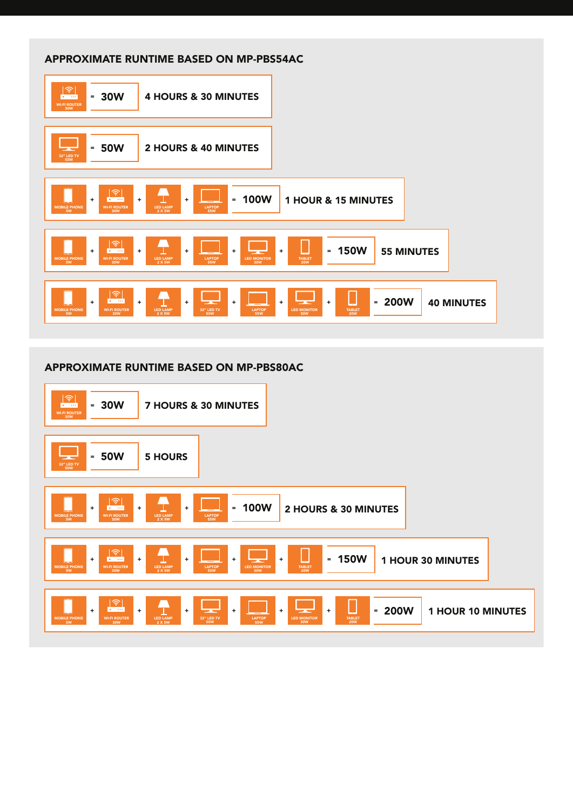### APPROXIMATE RUNTIME BASED ON MP-PBS54AC

| $\widehat{\mathcal{P}}$<br><b>4 HOURS &amp; 30 MINUTES</b><br>$= 30W$<br>WI-FI ROUTER<br>30W                                                                                                                                                                                                                                                            |
|---------------------------------------------------------------------------------------------------------------------------------------------------------------------------------------------------------------------------------------------------------------------------------------------------------------------------------------------------------|
| $-50W$<br><b>2 HOURS &amp; 40 MINUTES</b><br>- -<br>32" LED TV<br><b>50W</b>                                                                                                                                                                                                                                                                            |
| $\widehat{\mathcal{F}}$<br>T<br><b>100W</b><br>1 HOUR & 15 MINUTES<br>$\ddot{}$<br>$\equiv$<br>$+$<br>$\bullet$<br>$\ddot{}$<br>MOBILE PHONE<br>5W<br>LED LAMP<br>2 X 5W<br><b>LAPTOP</b><br><b>WI-FI ROUTER</b><br>30W<br>55W                                                                                                                          |
| <u>কি</u><br><b>150W</b><br>$=$<br><b>55 MINUTES</b><br>$\ddot{\phantom{1}}$<br>$+$<br>$+$<br>$\ddot{}$<br>$\ddot{}$<br>o v<br><b>MOBILE PHONE</b><br><b>LED LAMP</b><br>TABLET<br>20W<br><b>WI-FI ROUTER</b><br>LAPTOP<br>55W<br>LED MONITOR<br>30W<br>2 X 5W<br>30W<br>5W                                                                             |
| 令<br>T<br><b>200W</b><br>$\bullet$<br>$\equiv$<br><b>40 MINUTES</b><br>$\ddotmark$<br>$+$<br>$+$<br>$\ddot{}$<br>$\ddot{}$<br>$\ddot{}$<br>- -<br>o se<br><b>LED LAMP</b><br><b>MOBILE PHONE</b><br><b>WI-FI ROUTER</b><br>32" LED TV<br>LAPTOP<br>55W<br><b>LED MONITOR</b><br><b>TABLET</b><br>2 X 5W<br>5W<br>30W<br><b>50W</b><br>30W<br><b>20W</b> |

#### APPROXIMATE RUNTIME BASED ON MP-PBS80AC